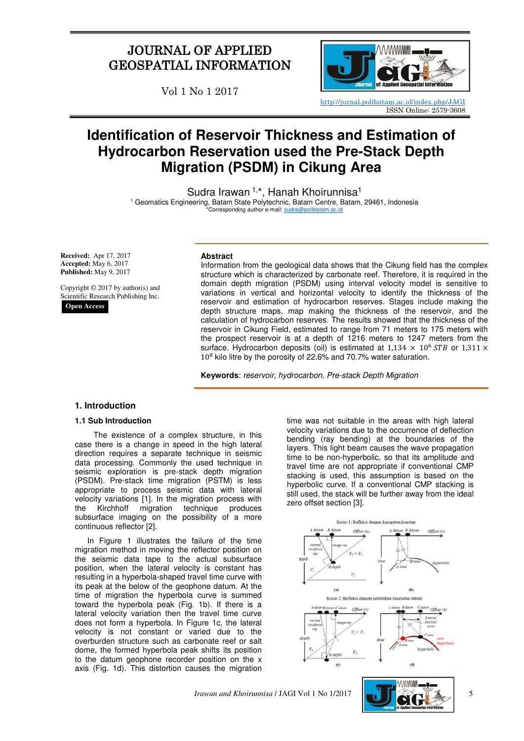## JOURNAL OF APPLIED GEOSPATIAL INFORMATION

Vol 1 No 1 2017



<http://jurnal.polibatam.ac.id/index.php/JAGI> ISSN Online: 2579-3608

# **Identification of Reservoir Thickness and Estimation of Hydrocarbon Reservation used the Pre-Stack Depth Migration (PSDM) in Cikung Area**

Sudra Irawan <sup>1,\*</sup>, Hanah Khoirunnisa<sup>1</sup>

1 Geomatics Engineering, Batam State Polytechnic, Batam Centre, Batam, 29461, Indonesia \*Corresponding author e-mail[: sudra@polibatam.ac.id](mailto:sudra@polibatam.ac.id)

**Received:** Apr 17, 2017 **Accepted:** May 6, 2017 **Published:** May 9, 2017

Copyright © 2017 by author(s) and Scientific Research Publishing Inc.

**Open Access**

#### **Abstract**

Information from the geological data shows that the Cikung field has the complex structure which is characterized by carbonate reef. Therefore, it is required in the domain depth migration (PSDM) using interval velocity model is sensitive to variations in vertical and horizontal velocity to identify the thickness of the reservoir and estimation of hydrocarbon reserves. Stages include making the depth structure maps, map making the thickness of the reservoir, and the calculation of hydrocarbon reserves. The results showed that the thickness of the reservoir in Cikung Field, estimated to range from 71 meters to 175 meters with the prospect reservoir is at a depth of 1216 meters to 1247 meters from the surface. Hydrocarbon deposits (oil) is estimated at  $1,134 \times 10^6$  *STB* or  $1,311 \times$ 10<sup>8</sup> kilo litre by the porosity of 22.6% and 70.7% water saturation.

**Keywords**: reservoir, hydrocarbon, Pre-stack Depth Migration

## **1. Introduction**

## **1.1 Sub Introduction**

The existence of a complex structure, in this case there is a change in speed in the high lateral direction requires a separate technique in seismic data processing. Commonly the used technique in seismic exploration is pre-stack depth migration (PSDM). Pre-stack time migration (PSTM) is less appropriate to process seismic data with lateral velocity variations [1]. In the migration process with the Kirchhoff migration technique produces subsurface imaging on the possibility of a more continuous reflector [2].

In Figure 1 illustrates the failure of the time migration method in moving the reflector position on the seismic data tape to the actual subsurface position, when the lateral velocity is constant has resulting in a hyperbola-shaped travel time curve with its peak at the below of the geophone datum. At the time of migration the hyperbola curve is summed toward the hyperbola peak (Fig. 1b). If there is a lateral velocity variation then the travel time curve does not form a hyperbola. In Figure 1c, the lateral velocity is not constant or varied due to the overburden structure such as carbonate reef or salt dome, the formed hyperbola peak shifts its position to the datum geophone recorder position on the x axis (Fig. 1d). This distortion causes the migration

time was not suitable in the areas with high lateral velocity variations due to the occurrence of deflection bending (ray bending) at the boundaries of the layers. This light beam causes the wave propagation time to be non-hyperbolic, so that its amplitude and travel time are not appropriate if conventional CMP stacking is used, this assumption is based on the hyperbolic curve. If a conventional CMP stacking is still used, the stack will be further away from the ideal zero offset section [3].



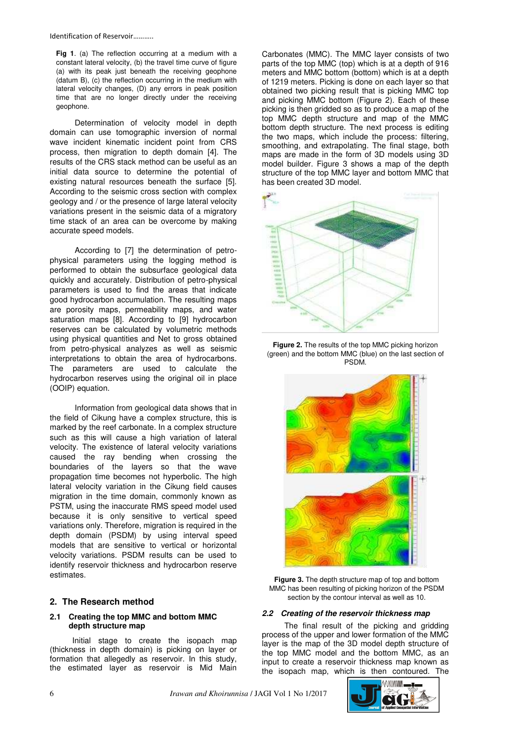**Fig 1**. (a) The reflection occurring at a medium with a constant lateral velocity, (b) the travel time curve of figure (a) with its peak just beneath the receiving geophone (datum B), (c) the reflection occurring in the medium with lateral velocity changes, (D) any errors in peak position time that are no longer directly under the receiving geophone.

Determination of velocity model in depth domain can use tomographic inversion of normal wave incident kinematic incident point from CRS process, then migration to depth domain [4]. The results of the CRS stack method can be useful as an initial data source to determine the potential of existing natural resources beneath the surface [5]. According to the seismic cross section with complex geology and / or the presence of large lateral velocity variations present in the seismic data of a migratory time stack of an area can be overcome by making accurate speed models.

According to [7] the determination of petrophysical parameters using the logging method is performed to obtain the subsurface geological data quickly and accurately. Distribution of petro-physical parameters is used to find the areas that indicate good hydrocarbon accumulation. The resulting maps are porosity maps, permeability maps, and water saturation maps [8]. According to [9] hydrocarbon reserves can be calculated by volumetric methods using physical quantities and Net to gross obtained from petro-physical analyzes as well as seismic interpretations to obtain the area of hydrocarbons. The parameters are used to calculate the hydrocarbon reserves using the original oil in place (OOIP) equation.

Information from geological data shows that in the field of Cikung have a complex structure, this is marked by the reef carbonate. In a complex structure such as this will cause a high variation of lateral velocity. The existence of lateral velocity variations caused the ray bending when crossing the boundaries of the layers so that the wave propagation time becomes not hyperbolic. The high lateral velocity variation in the Cikung field causes migration in the time domain, commonly known as PSTM, using the inaccurate RMS speed model used because it is only sensitive to vertical speed variations only. Therefore, migration is required in the depth domain (PSDM) by using interval speed models that are sensitive to vertical or horizontal velocity variations. PSDM results can be used to identify reservoir thickness and hydrocarbon reserve estimates.

## **2. The Research method**

#### **2.1 Creating the top MMC and bottom MMC depth structure map**

Initial stage to create the isopach map (thickness in depth domain) is picking on layer or formation that allegedly as reservoir. In this study, the estimated layer as reservoir is Mid Main

Carbonates (MMC). The MMC layer consists of two parts of the top MMC (top) which is at a depth of 916 meters and MMC bottom (bottom) which is at a depth of 1219 meters. Picking is done on each layer so that obtained two picking result that is picking MMC top and picking MMC bottom (Figure 2). Each of these picking is then gridded so as to produce a map of the top MMC depth structure and map of the MMC bottom depth structure. The next process is editing the two maps, which include the process: filtering, smoothing, and extrapolating. The final stage, both maps are made in the form of 3D models using 3D model builder. Figure 3 shows a map of the depth structure of the top MMC layer and bottom MMC that has been created 3D model.



**Figure 2.** The results of the top MMC picking horizon (green) and the bottom MMC (blue) on the last section of PSDM.



**Figure 3.** The depth structure map of top and bottom MMC has been resulting of picking horizon of the PSDM section by the contour interval as well as 10.

## **2.2 Creating of the reservoir thickness map**

The final result of the picking and gridding process of the upper and lower formation of the MMC layer is the map of the 3D model depth structure of the top MMC model and the bottom MMC, as an input to create a reservoir thickness map known as the isopach map, which is then contoured. The

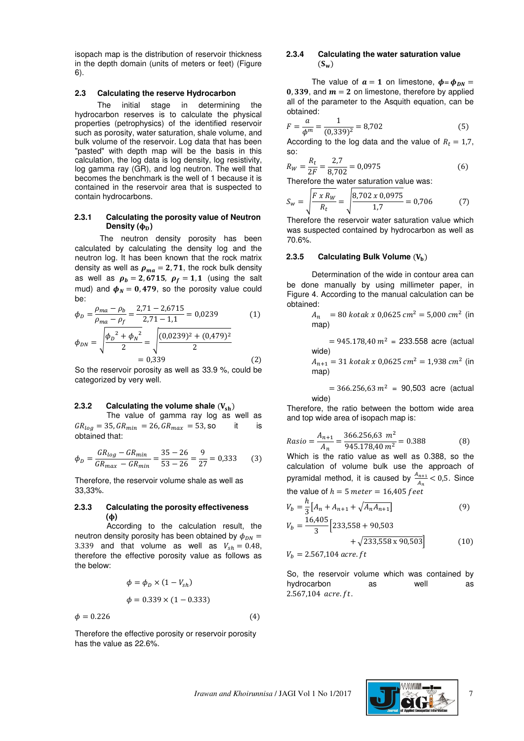isopach map is the distribution of reservoir thickness in the depth domain (units of meters or feet) (Figure 6).

#### **2.3 Calculating the reserve Hydrocarbon**

The initial stage in determining the hydrocarbon reserves is to calculate the physical properties (petrophysics) of the identified reservoir such as porosity, water saturation, shale volume, and bulk volume of the reservoir. Log data that has been "pasted" with depth map will be the basis in this calculation, the log data is log density, log resistivity, log gamma ray (GR), and log neutron. The well that becomes the benchmark is the well of 1 because it is contained in the reservoir area that is suspected to contain hydrocarbons.

## **2.3.1 Calculating the porosity value of Neutron**  Density  $(\phi_D)$

The neutron density porosity has been calculated by calculating the density log and the neutron log. It has been known that the rock matrix density as well as  $\rho_{ma} = 2, 71$ , the rock bulk density as well as  $\rho_b = 2,6715, \rho_f = 1,1$  (using the salt mud) and  $\phi_N = 0,479$ , so the porosity value could be:

$$
\phi_D = \frac{\rho_{ma} - \rho_b}{\rho_{ma} - \rho_f} = \frac{2,71 - 2,6715}{2,71 - 1,1} = 0,0239
$$
(1)  

$$
\phi_{DN} = \sqrt{\frac{\phi_D^2 + \phi_N^2}{2}} = \sqrt{\frac{(0,0239)^2 + (0,479)^2}{2}}
$$

$$
= 0,339
$$
(2)

So the reservoir porosity as well as 33.9 %, could be categorized by very well.

#### **2.3.2** Calculating the volume shale  $(V_{\text{sh}})$

The value of gamma ray log as well as  $GR_{log} = 35, GR_{min} = 26, GR_{max} = 53$ , so it is obtained that:

$$
\phi_D = \frac{GR_{log} - GR_{min}}{GR_{max} - GR_{min}} = \frac{35 - 26}{53 - 26} = \frac{9}{27} = 0.333
$$
 (3)

Therefore, the reservoir volume shale as well as 33,33%.

#### **2.3.3 Calculating the porosity effectiveness ()**

According to the calculation result, the neutron density porosity has been obtained by  $\phi_{\text{nw}} =$ 3.339 and that volume as well as  $V_{\rm sh} = 0.48$ , therefore the effective porosity value as follows as the below:

$$
\phi = \phi_D \times (1 - V_{sh})
$$

$$
\phi = 0.339 \times (1 - 0.333)
$$

$$
\phi = 0.226\tag{4}
$$

Therefore the effective porosity or reservoir porosity has the value as 22.6%.

## **2.3.4 Calculating the water saturation value**   $(S_w)$

The value of  $a = 1$  on limestone,  $\phi = \phi_{DN} =$ 0, 339, and  $m = 2$  on limestone, therefore by applied all of the parameter to the Asquith equation, can be obtained:

$$
F = \frac{a}{\phi^m} = \frac{1}{(0.339)^2} = 8.702\tag{5}
$$

According to the log data and the value of  $R_t = 1.7$ , so:

$$
R_W = \frac{R_t}{2F} = \frac{2.7}{8.702} = 0.0975\tag{6}
$$

Therefore the water saturation value was:

$$
S_W = \sqrt{\frac{F \times R_W}{R_t}} = \sqrt{\frac{8,702 \times 0,0975}{1,7}} = 0,706\tag{7}
$$

Therefore the reservoir water saturation value which was suspected contained by hydrocarbon as well as 70.6%.

#### 2.3.5 Calculating Bulk Volume  $(V<sub>h</sub>)$

Determination of the wide in contour area can be done manually by using millimeter paper, in Figure 4. According to the manual calculation can be obtained:

$$
A_n = 80 \text{ kotak } x \, 0.0625 \, \text{cm}^2 = 5.000 \, \text{cm}^2 \, \text{(in)}
$$
\nmap

 $= 945.178,40 m<sup>2</sup> = 233.558$  acre (actual wide)

 $A_{n+1} = 31$  kotak x 0,0625 cm<sup>2</sup> = 1,938 cm<sup>2</sup> (in map)

 $= 366.256,63 m<sup>2</sup> = 90,503$  acre (actual wide)

Therefore, the ratio between the bottom wide area and top wide area of isopach map is:

$$
Rasio = \frac{A_{n+1}}{A_n} = \frac{366.256,63 \ m^2}{945.178,40 \ m^2} = 0.388
$$
 (8)

Which is the ratio value as well as 0.388, so the calculation of volume bulk use the approach of pyramidal method, it is caused by  $\frac{A_{n+1}}{A_n}$  < 0,5. Since the value of  $h = 5$  meter = 16,405 feet

$$
V_b = \frac{h}{3} \left[ A_n + A_{n+1} + \sqrt{A_n A_{n+1}} \right]
$$
(9)

$$
V_b = \frac{16,405}{3} \left[ 233,558 + 90,503 + \sqrt{233,558 \times 90,503} \right]
$$
(10)

 $V_b = 2.567,104$  acre. ft

So, the reservoir volume which was contained by hydrocarbon as well as  $2.567,104$  acre. ft.



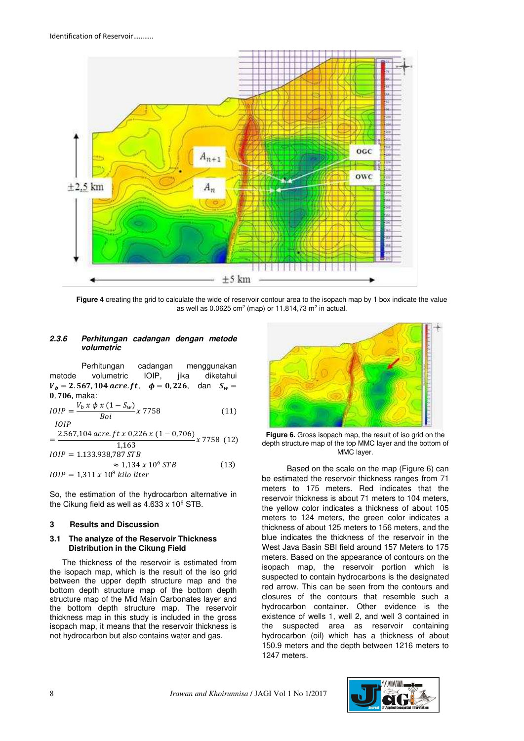

**Figure 4** creating the grid to calculate the wide of reservoir contour area to the isopach map by 1 box indicate the value as well as 0.0625 cm<sup>2</sup> (map) or 11.814,73 m<sup>2</sup> in actual.

#### **2.3.6 Perhitungan cadangan dengan metode volumetric**

Perhitungan cadangan menggunakan metode volumetric IOIP, jika diketahui  $V_b = 2.567, 104$  acre. ft,  $\phi = 0.226$ , dan  $S_w =$  $0, 706,$  maka:

$$
IOIP = \frac{V_b x \phi x (1 - S_w)}{Boi} x 7758
$$
 (11)

$$
=\frac{2.567,104 \, \text{acre. ft} \times 0,226 \times (1-0,706)}{1,163} \times 7758 \, (12)
$$

$$
IOIP = 1.133.938,787 STB
$$
  
\n
$$
\approx 1,134 \times 10^6 STB
$$
\n
$$
IOIP = 1,311 \times 10^8 \text{ kilo liter}
$$
\n(13)

So, the estimation of the hydrocarbon alternative in the Cikung field as well as  $4.633 \times 10^6$  STB.

## **3 Results and Discussion**

## **3.1 The analyze of the Reservoir Thickness Distribution in the Cikung Field**

The thickness of the reservoir is estimated from the isopach map, which is the result of the iso grid between the upper depth structure map and the bottom depth structure map of the bottom depth structure map of the Mid Main Carbonates layer and the bottom depth structure map. The reservoir thickness map in this study is included in the gross isopach map, it means that the reservoir thickness is not hydrocarbon but also contains water and gas.



**Figure 6.** Gross isopach map, the result of iso grid on the depth structure map of the top MMC layer and the bottom of MMC layer.

Based on the scale on the map (Figure 6) can be estimated the reservoir thickness ranges from 71 meters to 175 meters. Red indicates that the reservoir thickness is about 71 meters to 104 meters, the yellow color indicates a thickness of about 105 meters to 124 meters, the green color indicates a thickness of about 125 meters to 156 meters, and the blue indicates the thickness of the reservoir in the West Java Basin SBI field around 157 Meters to 175 meters. Based on the appearance of contours on the isopach map, the reservoir portion which is suspected to contain hydrocarbons is the designated red arrow. This can be seen from the contours and closures of the contours that resemble such a hydrocarbon container. Other evidence is the existence of wells 1, well 2, and well 3 contained in the suspected area as reservoir containing hydrocarbon (oil) which has a thickness of about 150.9 meters and the depth between 1216 meters to 1247 meters.

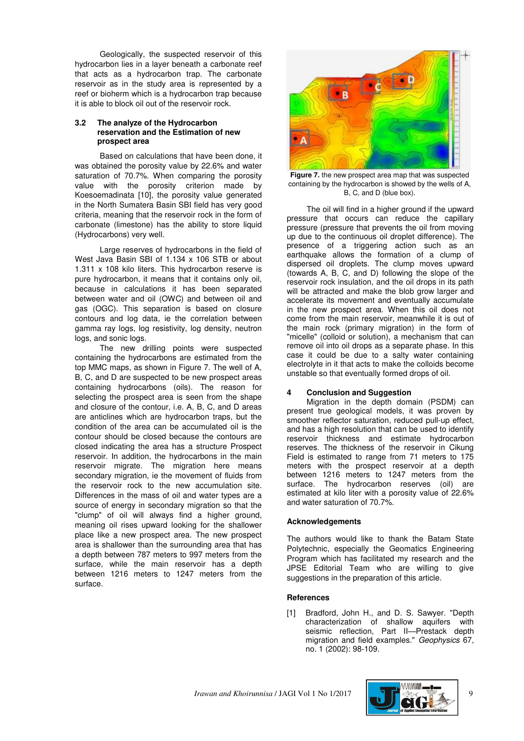Geologically, the suspected reservoir of this hydrocarbon lies in a layer beneath a carbonate reef that acts as a hydrocarbon trap. The carbonate reservoir as in the study area is represented by a reef or bioherm which is a hydrocarbon trap because it is able to block oil out of the reservoir rock.

#### **3.2 The analyze of the Hydrocarbon reservation and the Estimation of new prospect area**

Based on calculations that have been done, it was obtained the porosity value by 22.6% and water saturation of 70.7%. When comparing the porosity value with the porosity criterion made by Koesoemadinata [10], the porosity value generated in the North Sumatera Basin SBI field has very good criteria, meaning that the reservoir rock in the form of carbonate (limestone) has the ability to store liquid (Hydrocarbons) very well.

Large reserves of hydrocarbons in the field of West Java Basin SBI of 1.134 x 106 STB or about 1.311 x 108 kilo liters. This hydrocarbon reserve is pure hydrocarbon, it means that it contains only oil, because in calculations it has been separated between water and oil (OWC) and between oil and gas (OGC). This separation is based on closure contours and log data, ie the correlation between gamma ray logs, log resistivity, log density, neutron logs, and sonic logs.

The new drilling points were suspected containing the hydrocarbons are estimated from the top MMC maps, as shown in Figure 7. The well of A, B, C, and D are suspected to be new prospect areas containing hydrocarbons (oils). The reason for selecting the prospect area is seen from the shape and closure of the contour, i.e. A, B, C, and D areas are anticlines which are hydrocarbon traps, but the condition of the area can be accumulated oil is the contour should be closed because the contours are closed indicating the area has a structure Prospect reservoir. In addition, the hydrocarbons in the main reservoir migrate. The migration here means secondary migration, ie the movement of fluids from the reservoir rock to the new accumulation site. Differences in the mass of oil and water types are a source of energy in secondary migration so that the "clump" of oil will always find a higher ground, meaning oil rises upward looking for the shallower place like a new prospect area. The new prospect area is shallower than the surrounding area that has a depth between 787 meters to 997 meters from the surface, while the main reservoir has a depth between 1216 meters to 1247 meters from the surface.



**Figure 7.** the new prospect area map that was suspected containing by the hydrocarbon is showed by the wells of A, B, C, and D (blue box).

The oil will find in a higher ground if the upward pressure that occurs can reduce the capillary pressure (pressure that prevents the oil from moving up due to the continuous oil droplet difference). The presence of a triggering action such as an earthquake allows the formation of a clump of dispersed oil droplets. The clump moves upward (towards A, B, C, and D) following the slope of the reservoir rock insulation, and the oil drops in its path will be attracted and make the blob grow larger and accelerate its movement and eventually accumulate in the new prospect area. When this oil does not come from the main reservoir, meanwhile it is out of the main rock (primary migration) in the form of "micelle" (colloid or solution), a mechanism that can remove oil into oil drops as a separate phase. In this case it could be due to a salty water containing electrolyte in it that acts to make the colloids become unstable so that eventually formed drops of oil.

## **4 Conclusion and Suggestion**

Migration in the depth domain (PSDM) can present true geological models, it was proven by smoother reflector saturation, reduced pull-up effect, and has a high resolution that can be used to identify reservoir thickness and estimate hydrocarbon reserves. The thickness of the reservoir in Cikung Field is estimated to range from 71 meters to 175 meters with the prospect reservoir at a depth between 1216 meters to 1247 meters from the surface. The hydrocarbon reserves (oil) are estimated at kilo liter with a porosity value of 22.6% and water saturation of 70.7%.

## **Acknowledgements**

The authors would like to thank the Batam State Polytechnic, especially the Geomatics Engineering Program which has facilitated my research and the JPSE Editorial Team who are willing to give suggestions in the preparation of this article.

#### **References**

[1] Bradford, John H., and D. S. Sawyer. "Depth characterization of shallow aquifers with seismic reflection, Part II-Prestack depth migration and field examples." Geophysics 67, no. 1 (2002): 98-109.